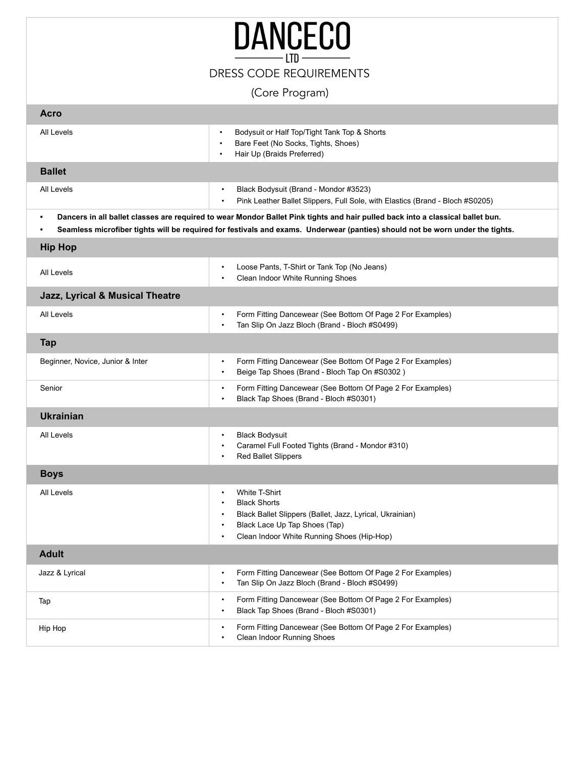|                                                                                                                                                                                                                                                                 | <b>DANCECO</b>                                                                                                                                                                                                                      |
|-----------------------------------------------------------------------------------------------------------------------------------------------------------------------------------------------------------------------------------------------------------------|-------------------------------------------------------------------------------------------------------------------------------------------------------------------------------------------------------------------------------------|
|                                                                                                                                                                                                                                                                 | <b>DRESS CODE REQUIREMENTS</b>                                                                                                                                                                                                      |
|                                                                                                                                                                                                                                                                 | (Core Program)                                                                                                                                                                                                                      |
| <b>Acro</b>                                                                                                                                                                                                                                                     |                                                                                                                                                                                                                                     |
| All Levels                                                                                                                                                                                                                                                      | Bodysuit or Half Top/Tight Tank Top & Shorts<br>$\bullet$<br>Bare Feet (No Socks, Tights, Shoes)<br>$\bullet$<br>Hair Up (Braids Preferred)<br>$\bullet$                                                                            |
| <b>Ballet</b>                                                                                                                                                                                                                                                   |                                                                                                                                                                                                                                     |
| All Levels                                                                                                                                                                                                                                                      | Black Bodysuit (Brand - Mondor #3523)<br>$\bullet$<br>Pink Leather Ballet Slippers, Full Sole, with Elastics (Brand - Bloch #S0205)<br>$\bullet$                                                                                    |
| Dancers in all ballet classes are required to wear Mondor Ballet Pink tights and hair pulled back into a classical ballet bun.<br>Seamless microfiber tights will be required for festivals and exams. Underwear (panties) should not be worn under the tights. |                                                                                                                                                                                                                                     |
| <b>Hip Hop</b>                                                                                                                                                                                                                                                  |                                                                                                                                                                                                                                     |
| All Levels                                                                                                                                                                                                                                                      | Loose Pants, T-Shirt or Tank Top (No Jeans)<br>$\bullet$<br>Clean Indoor White Running Shoes                                                                                                                                        |
| Jazz, Lyrical & Musical Theatre                                                                                                                                                                                                                                 |                                                                                                                                                                                                                                     |
| All Levels                                                                                                                                                                                                                                                      | Form Fitting Dancewear (See Bottom Of Page 2 For Examples)<br>$\bullet$<br>Tan Slip On Jazz Bloch (Brand - Bloch #S0499)                                                                                                            |
| <b>Tap</b>                                                                                                                                                                                                                                                      |                                                                                                                                                                                                                                     |
| Beginner, Novice, Junior & Inter                                                                                                                                                                                                                                | Form Fitting Dancewear (See Bottom Of Page 2 For Examples)<br>$\bullet$<br>Beige Tap Shoes (Brand - Bloch Tap On #S0302)<br>$\bullet$                                                                                               |
| Senior                                                                                                                                                                                                                                                          | Form Fitting Dancewear (See Bottom Of Page 2 For Examples)<br>Black Tap Shoes (Brand - Bloch #S0301)                                                                                                                                |
| <b>Ukrainian</b>                                                                                                                                                                                                                                                |                                                                                                                                                                                                                                     |
| All Levels                                                                                                                                                                                                                                                      | <b>Black Bodysuit</b><br>Caramel Full Footed Tights (Brand - Mondor #310)<br><b>Red Ballet Slippers</b><br>$\bullet$                                                                                                                |
| <b>Boys</b>                                                                                                                                                                                                                                                     |                                                                                                                                                                                                                                     |
| All Levels                                                                                                                                                                                                                                                      | White T-Shirt<br>$\bullet$<br><b>Black Shorts</b><br>$\bullet$<br>Black Ballet Slippers (Ballet, Jazz, Lyrical, Ukrainian)<br>Black Lace Up Tap Shoes (Tap)<br>$\bullet$<br>Clean Indoor White Running Shoes (Hip-Hop)<br>$\bullet$ |
| <b>Adult</b>                                                                                                                                                                                                                                                    |                                                                                                                                                                                                                                     |
| Jazz & Lyrical                                                                                                                                                                                                                                                  | Form Fitting Dancewear (See Bottom Of Page 2 For Examples)<br>Tan Slip On Jazz Bloch (Brand - Bloch #S0499)<br>$\bullet$                                                                                                            |
| Tap                                                                                                                                                                                                                                                             | Form Fitting Dancewear (See Bottom Of Page 2 For Examples)                                                                                                                                                                          |

• Black Tap Shoes (Brand - Bloch #S0301)

• Clean Indoor Running Shoes

Hip Hop **Form Fitting Dancewear (See Bottom Of Page 2 For Examples) •** Form Fitting Dancewear (See Bottom Of Page 2 For Examples)